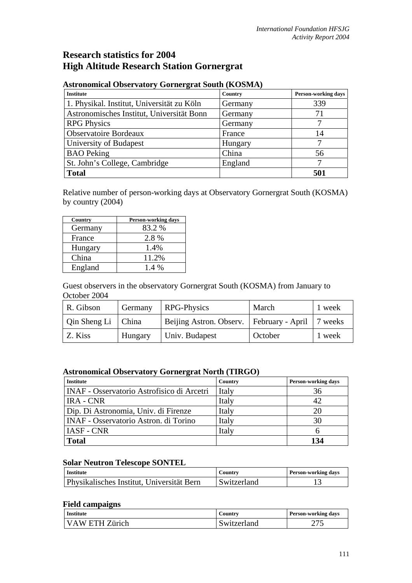# **Research statistics for 2004 High Altitude Research Station Gornergrat**

| <b>Institute</b>                           | Country | <b>Person-working days</b> |
|--------------------------------------------|---------|----------------------------|
| 1. Physikal. Institut, Universität zu Köln | Germany | 339                        |
| Astronomisches Institut, Universität Bonn  | Germany | 71                         |
| <b>RPG Physics</b>                         | Germany |                            |
| <b>Observatoire Bordeaux</b>               | France  | 14                         |
| University of Budapest                     | Hungary |                            |
| <b>BAO</b> Peking                          | China   | 56                         |
| St. John's College, Cambridge              | England |                            |
| <b>Total</b>                               |         | 501                        |

## **Astronomical Observatory Gornergrat South (KOSMA)**

Relative number of person-working days at Observatory Gornergrat South (KOSMA) by country (2004)

| Country | <b>Person-working days</b> |
|---------|----------------------------|
| Germany | 83.2 %                     |
| France  | 2.8 %                      |
| Hungary | 1.4%                       |
| China   | 11.2%                      |
| England | $1.4\%$                    |

Guest observers in the observatory Gornergrat South (KOSMA) from January to October 2004

| R. Gibson            | Germany | RPG-Physics                                          | March   | 1 week |
|----------------------|---------|------------------------------------------------------|---------|--------|
| Qin Sheng Li   China |         | Beijing Astron. Observ.   February - April   7 weeks |         |        |
| Z. Kiss              | Hungary | Univ. Budapest                                       | October | 1 week |

### **Astronomical Observatory Gornergrat North (TIRGO)**

| <b>Institute</b>                                  | Country | <b>Person-working days</b> |
|---------------------------------------------------|---------|----------------------------|
| <b>INAF</b> - Osservatorio Astrofisico di Arcetri | Italy   | 36                         |
| <b>IRA - CNR</b>                                  | Italy   | 42                         |
| Dip. Di Astronomia, Univ. di Firenze              | Italy   | 20                         |
| <b>INAF</b> - Osservatorio Astron. di Torino      | Italy   | 30                         |
| <b>IASF - CNR</b>                                 | Italy   |                            |
| <b>Total</b>                                      |         | 134                        |

#### **Solar Neutron Telescope SONTEL**

| <b>Institute</b>                          | Country     | <b>Person-working days</b> |
|-------------------------------------------|-------------|----------------------------|
| Physikalisches Institut, Universität Bern | Switzerland |                            |

### **Field campaigns**

| <b>Institute</b> | Country     | <b>Person-working days</b> |
|------------------|-------------|----------------------------|
| VAW ETH Zürich   | Switzerland | ن ایپ                      |